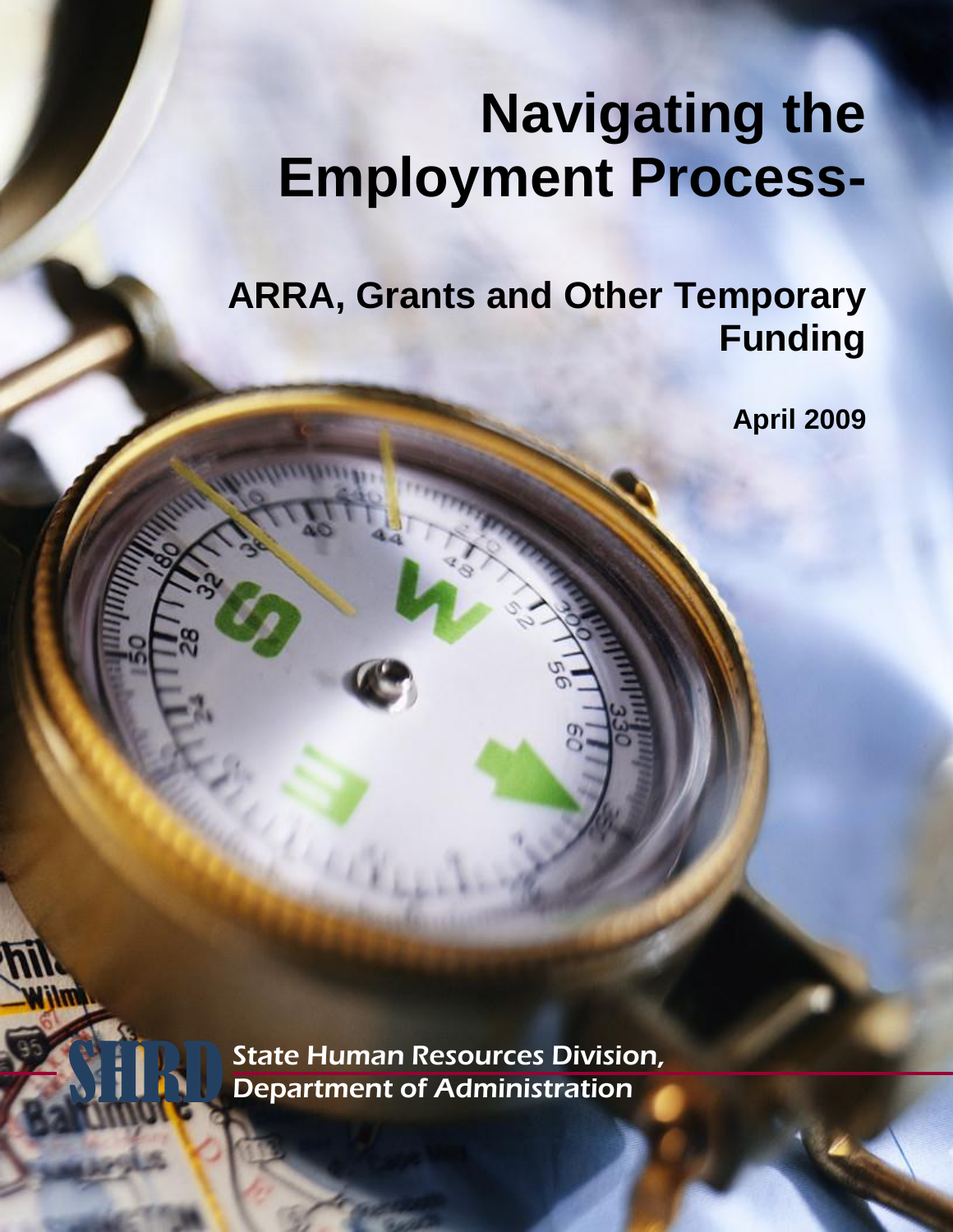# **Navigating the Employment Process-**

**ARRA, Grants and Other Temporary Funding**

**April 2009**

**State Human Resources Division,<br>Department of Administration**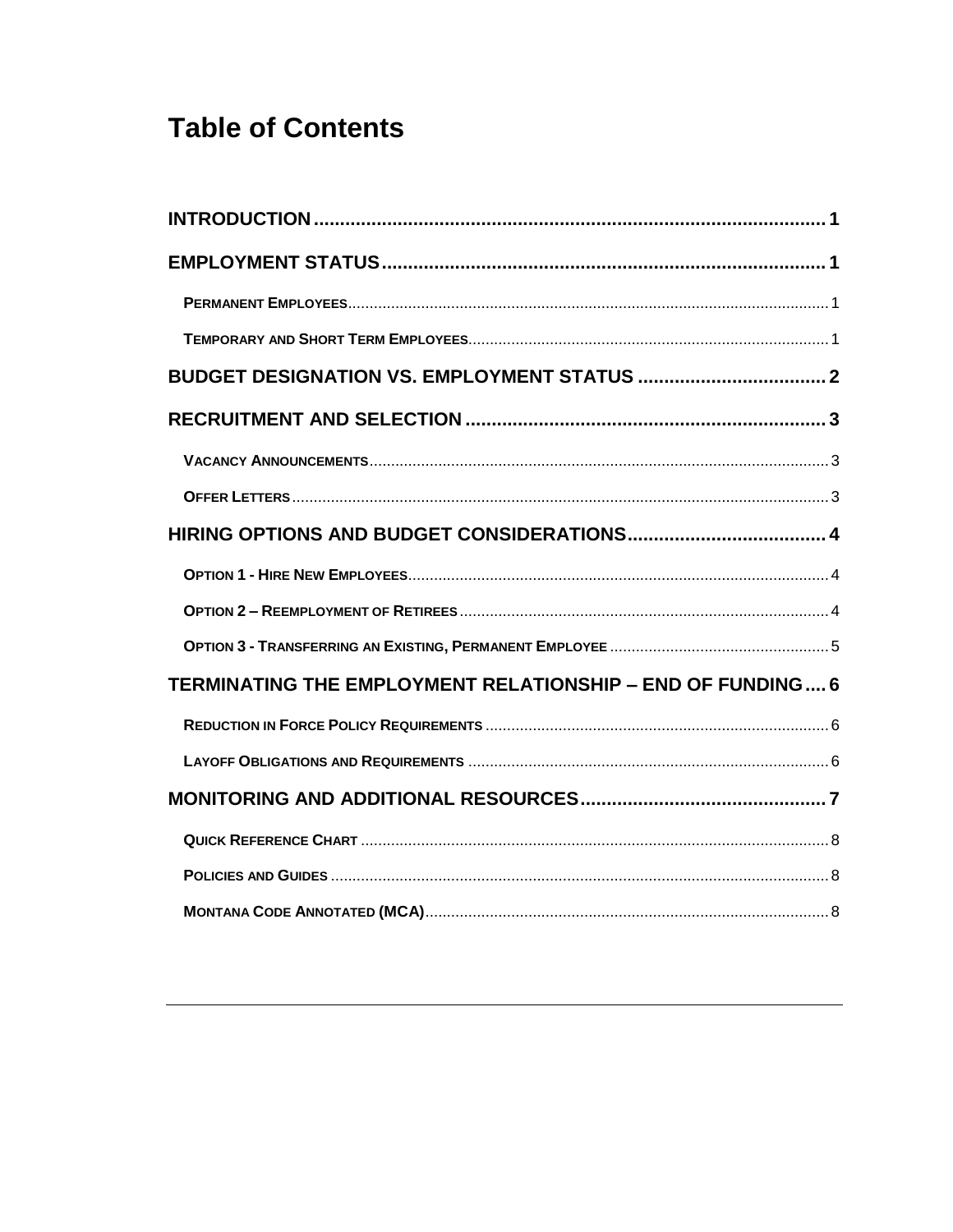# **Table of Contents**

| TERMINATING THE EMPLOYMENT RELATIONSHIP - END OF FUNDING 6 |  |
|------------------------------------------------------------|--|
|                                                            |  |
|                                                            |  |
|                                                            |  |
|                                                            |  |
|                                                            |  |
|                                                            |  |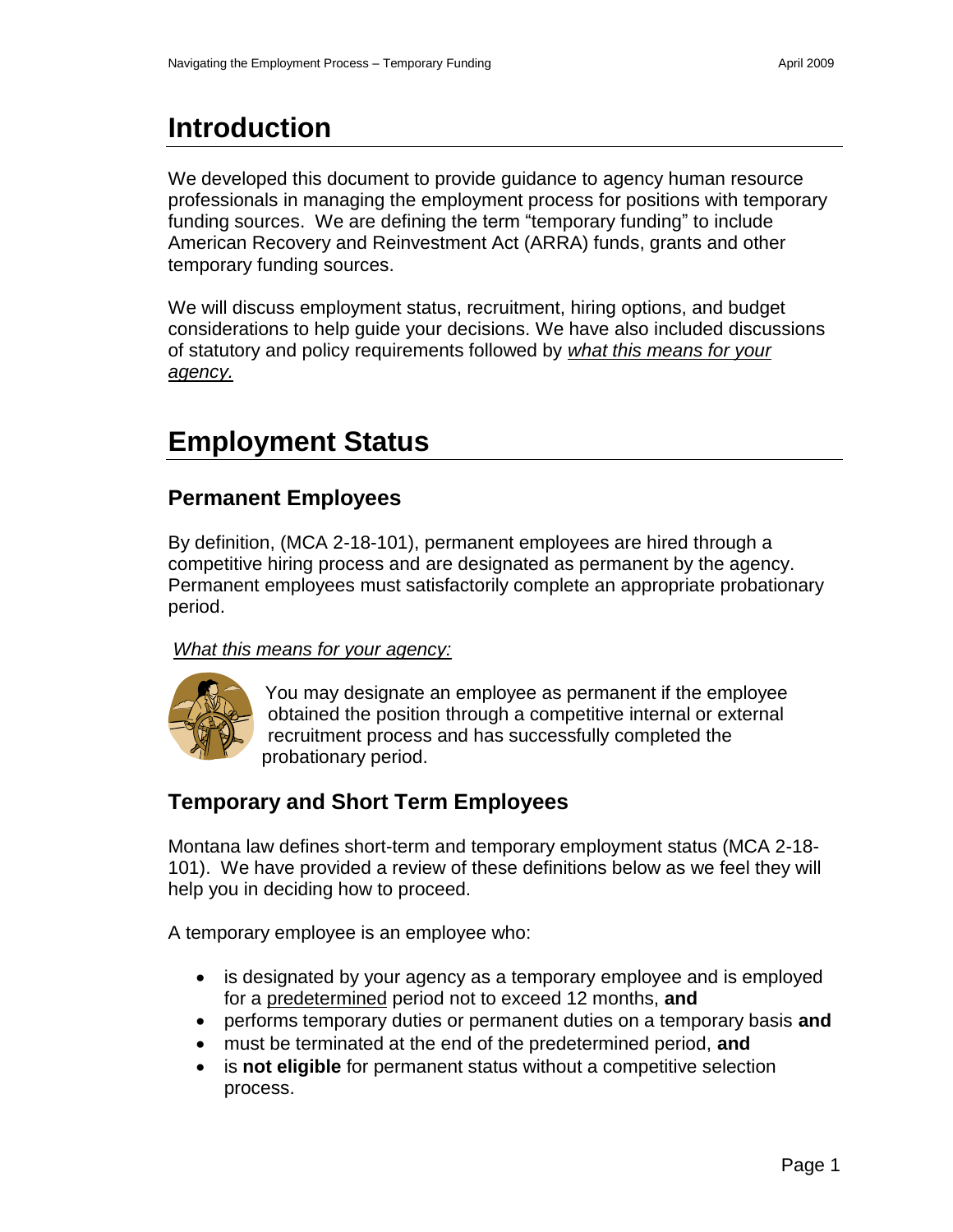# <span id="page-2-0"></span>**Introduction**

We developed this document to provide guidance to agency human resource professionals in managing the employment process for positions with temporary funding sources. We are defining the term "temporary funding" to include American Recovery and Reinvestment Act (ARRA) funds, grants and other temporary funding sources.

We will discuss employment status, recruitment, hiring options, and budget considerations to help guide your decisions. We have also included discussions of statutory and policy requirements followed by *what this means for your agency.*

## <span id="page-2-1"></span>**Employment Status**

#### <span id="page-2-2"></span>**Permanent Employees**

By definition, (MCA 2-18-101), permanent employees are hired through a competitive hiring process and are designated as permanent by the agency. Permanent employees must satisfactorily complete an appropriate probationary period.

#### *What this means for your agency:*



<span id="page-2-3"></span>You may designate an employee as permanent if the employee obtained the position through a competitive internal or external recruitment process and has successfully completed the probationary period.

## **Temporary and Short Term Employees**

Montana law defines short-term and temporary employment status (MCA 2-18- 101). We have provided a review of these definitions below as we feel they will help you in deciding how to proceed.

A temporary employee is an employee who:

- is designated by your agency as a temporary employee and is employed for a predetermined period not to exceed 12 months, **and**
- performs temporary duties or permanent duties on a temporary basis **and**
- must be terminated at the end of the predetermined period, **and**
- is **not eligible** for permanent status without a competitive selection process.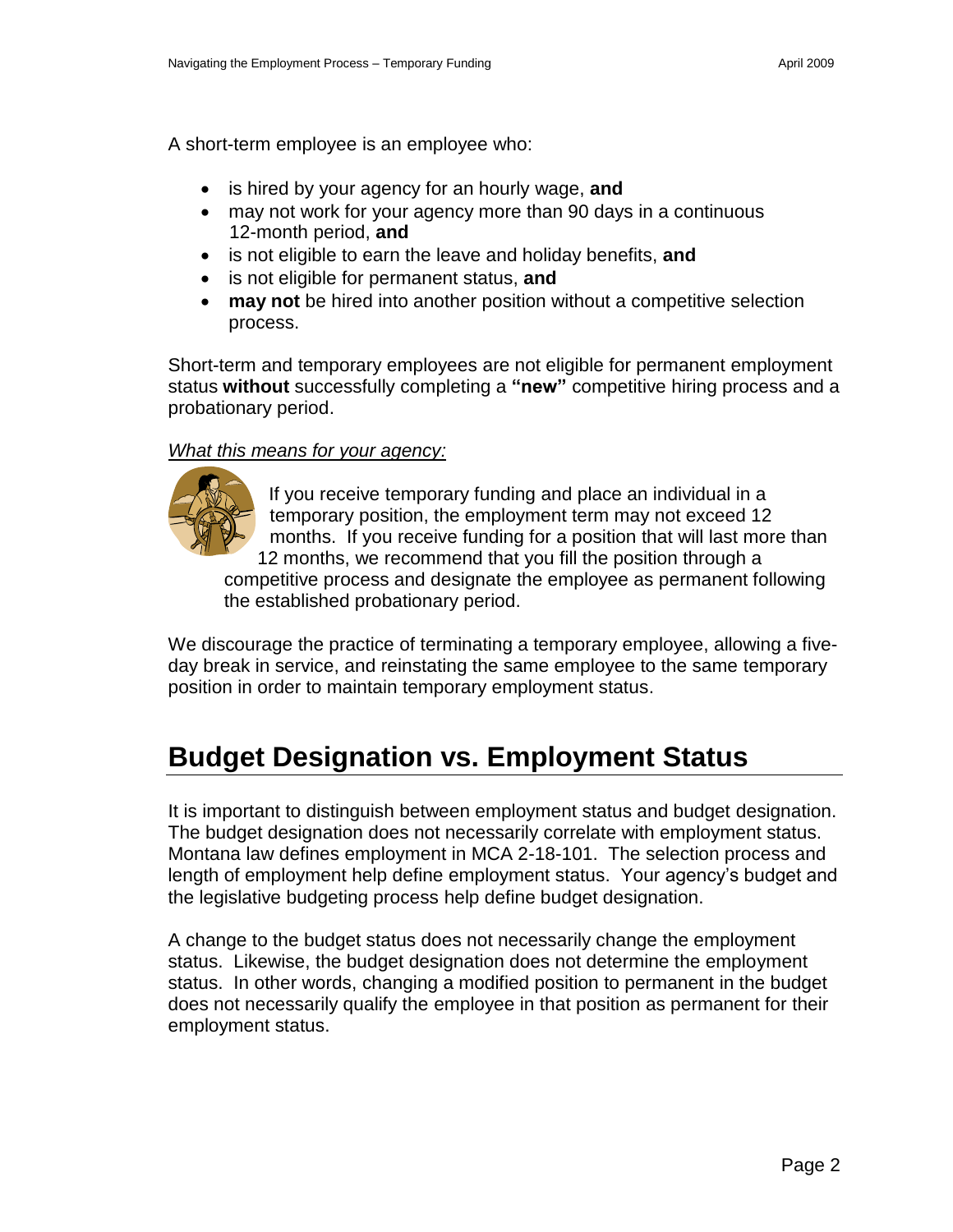A short-term employee is an employee who:

- is hired by your agency for an hourly wage, and
- may not work for your agency more than 90 days in a continuous 12-month period, **and**
- is not eligible to earn the leave and holiday benefits, **and**
- is not eligible for permanent status, **and**
- **may not** be hired into another position without a competitive selection process.

Short-term and temporary employees are not eligible for permanent employment status **without** successfully completing a **"new"** competitive hiring process and a probationary period.

#### *What this means for your agency:*



If you receive temporary funding and place an individual in a temporary position, the employment term may not exceed 12 months. If you receive funding for a position that will last more than 12 months, we recommend that you fill the position through a competitive process and designate the employee as permanent following the established probationary period.

We discourage the practice of terminating a temporary employee, allowing a fiveday break in service, and reinstating the same employee to the same temporary position in order to maintain temporary employment status.

## <span id="page-3-0"></span>**Budget Designation vs. Employment Status**

It is important to distinguish between employment status and budget designation. The budget designation does not necessarily correlate with employment status. Montana law defines employment in MCA 2-18-101. The selection process and length of employment help define employment status. Your agency's budget and the legislative budgeting process help define budget designation.

A change to the budget status does not necessarily change the employment status. Likewise, the budget designation does not determine the employment status. In other words, changing a modified position to permanent in the budget does not necessarily qualify the employee in that position as permanent for their employment status.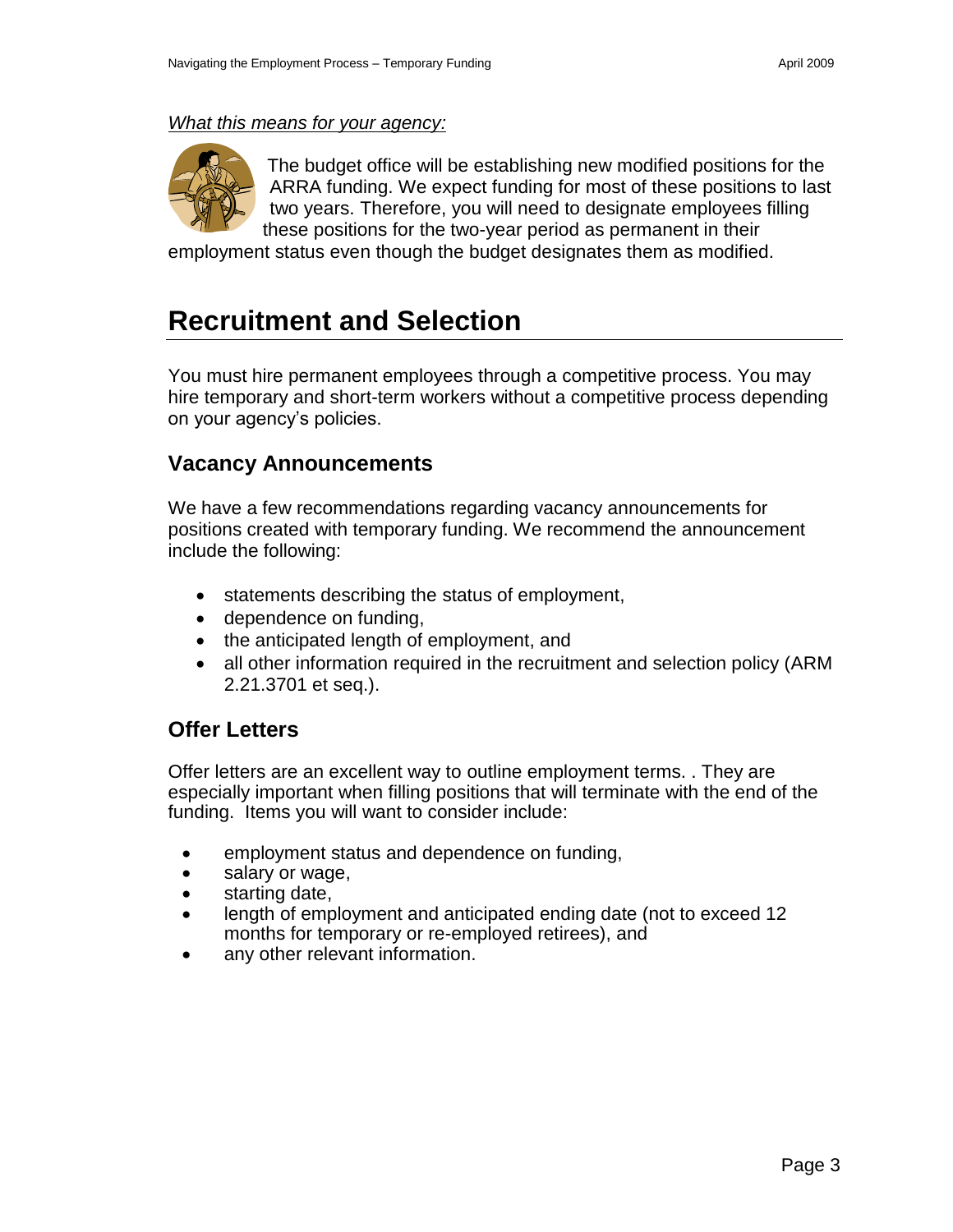#### *What this means for your agency:*



<span id="page-4-0"></span>The budget office will be establishing new modified positions for the ARRA funding. We expect funding for most of these positions to last two years. Therefore, you will need to designate employees filling these positions for the two-year period as permanent in their

employment status even though the budget designates them as modified.

## **Recruitment and Selection**

You must hire permanent employees through a competitive process. You may hire temporary and short-term workers without a competitive process depending on your agency's policies.

#### <span id="page-4-1"></span>**Vacancy Announcements**

We have a few recommendations regarding vacancy announcements for positions created with temporary funding. We recommend the announcement include the following:

- statements describing the status of employment,
- dependence on funding,
- the anticipated length of employment, and
- <span id="page-4-2"></span>• all other information required in the recruitment and selection policy (ARM 2.21.3701 et seq.).

#### **Offer Letters**

Offer letters are an excellent way to outline employment terms. . They are especially important when filling positions that will terminate with the end of the funding. Items you will want to consider include:

- employment status and dependence on funding,
- salary or wage,
- starting date,
- length of employment and anticipated ending date (not to exceed 12 months for temporary or re-employed retirees), and
- any other relevant information.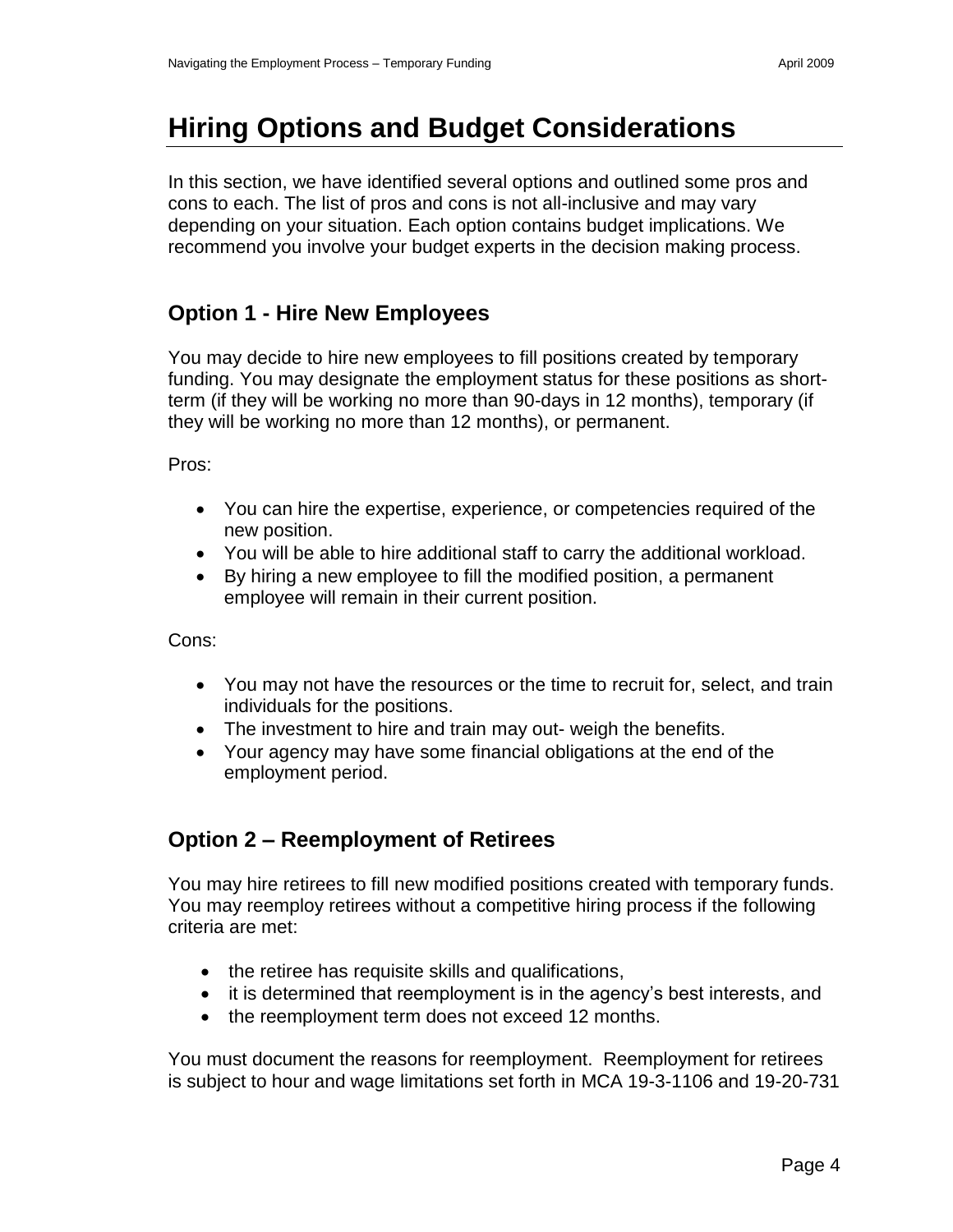# <span id="page-5-0"></span>**Hiring Options and Budget Considerations**

In this section, we have identified several options and outlined some pros and cons to each. The list of pros and cons is not all-inclusive and may vary depending on your situation. Each option contains budget implications. We recommend you involve your budget experts in the decision making process.

#### <span id="page-5-1"></span>**Option 1 - Hire New Employees**

You may decide to hire new employees to fill positions created by temporary funding. You may designate the employment status for these positions as shortterm (if they will be working no more than 90-days in 12 months), temporary (if they will be working no more than 12 months), or permanent.

Pros:

- You can hire the expertise, experience, or competencies required of the new position.
- You will be able to hire additional staff to carry the additional workload.
- By hiring a new employee to fill the modified position, a permanent employee will remain in their current position.

Cons:

- You may not have the resources or the time to recruit for, select, and train individuals for the positions.
- The investment to hire and train may out- weigh the benefits.
- <span id="page-5-2"></span> Your agency may have some financial obligations at the end of the employment period.

## **Option 2 – Reemployment of Retirees**

You may hire retirees to fill new modified positions created with temporary funds. You may reemploy retirees without a competitive hiring process if the following criteria are met:

- the retiree has requisite skills and qualifications,
- it is determined that reemployment is in the agency's best interests, and
- the reemployment term does not exceed 12 months.

You must document the reasons for reemployment. Reemployment for retirees is subject to hour and wage limitations set forth in MCA 19-3-1106 and 19-20-731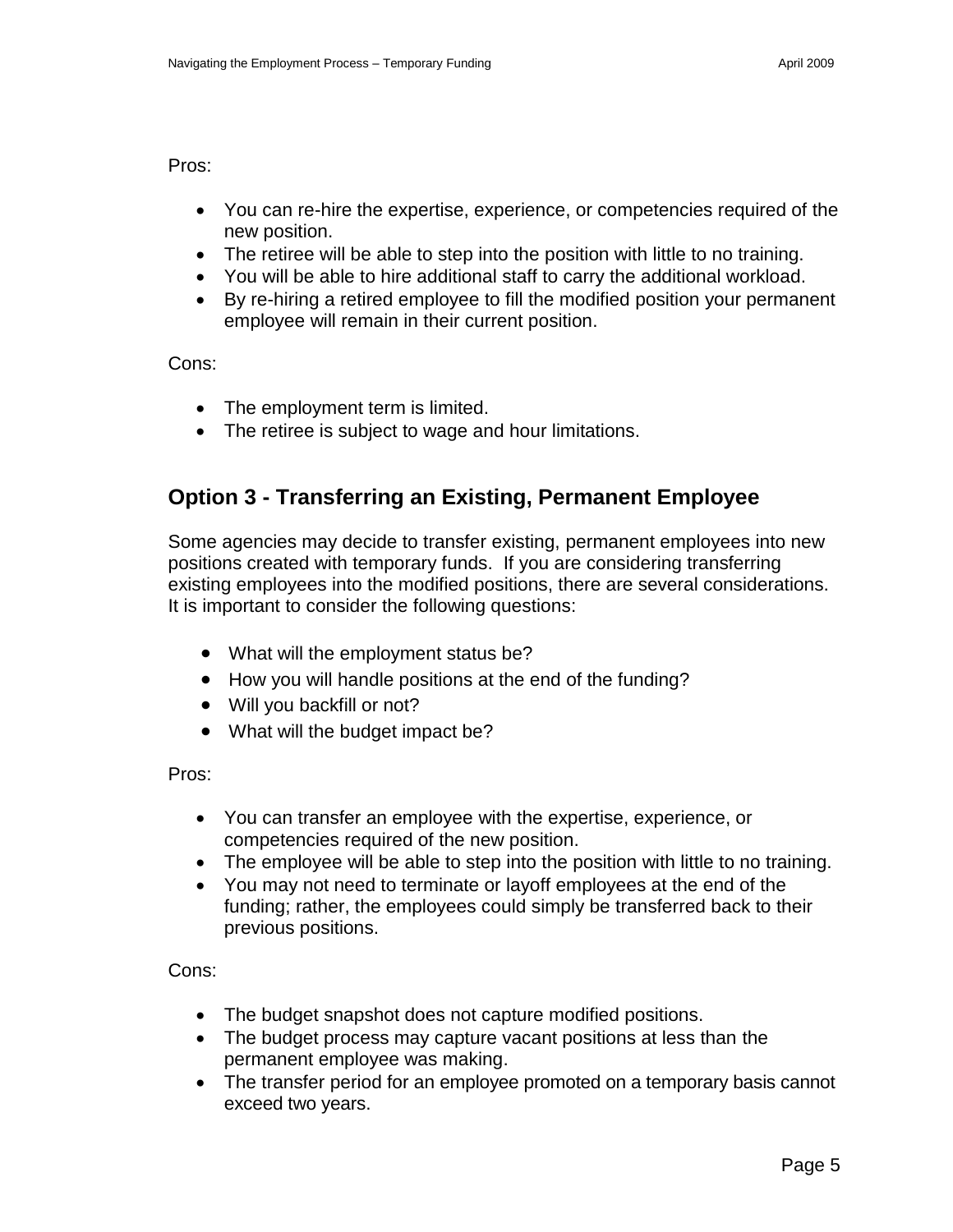Pros:

- You can re-hire the expertise, experience, or competencies required of the new position.
- The retiree will be able to step into the position with little to no training.
- You will be able to hire additional staff to carry the additional workload.
- By re-hiring a retired employee to fill the modified position your permanent employee will remain in their current position.

Cons:

- The employment term is limited.
- <span id="page-6-0"></span>• The retiree is subject to wage and hour limitations.

### **Option 3 - Transferring an Existing, Permanent Employee**

Some agencies may decide to transfer existing, permanent employees into new positions created with temporary funds. If you are considering transferring existing employees into the modified positions, there are several considerations. It is important to consider the following questions:

- What will the employment status be?
- How you will handle positions at the end of the funding?
- Will you backfill or not?
- What will the budget impact be?

Pros:

- You can transfer an employee with the expertise, experience, or competencies required of the new position.
- The employee will be able to step into the position with little to no training.
- You may not need to terminate or layoff employees at the end of the funding; rather, the employees could simply be transferred back to their previous positions.

Cons:

- The budget snapshot does not capture modified positions.
- The budget process may capture vacant positions at less than the permanent employee was making.
- The transfer period for an employee promoted on a temporary basis cannot exceed two years.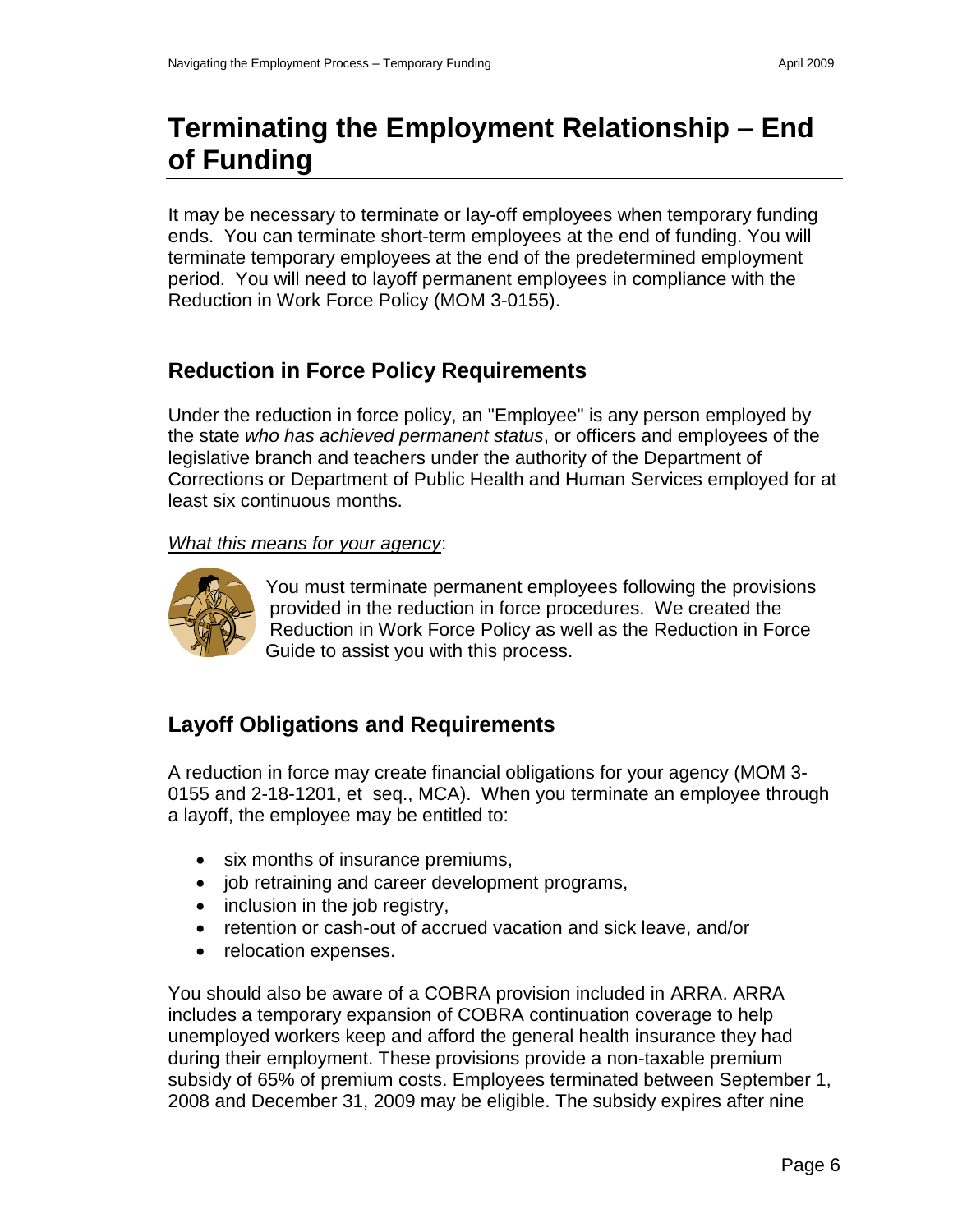# <span id="page-7-0"></span>**Terminating the Employment Relationship – End of Funding**

It may be necessary to terminate or lay-off employees when temporary funding ends. You can terminate short-term employees at the end of funding. You will terminate temporary employees at the end of the predetermined employment period. You will need to layoff permanent employees in compliance with the Reduction in Work Force Policy (MOM 3-0155).

## **Reduction in Force Policy Requirements**

Under the reduction in force policy, an "Employee" is any person employed by the state *who has achieved permanent status*, or officers and employees of the legislative branch and teachers under the authority of the Department of Corrections or Department of Public Health and Human Services employed for at least six continuous months.

#### *What this means for your agency*:



<span id="page-7-2"></span><span id="page-7-1"></span>You must terminate permanent employees following the provisions provided in the reduction in force procedures. We created the Reduction in Work Force Policy as well as the Reduction in Force Guide to assist you with this process.

## **Layoff Obligations and Requirements**

A reduction in force may create financial obligations for your agency (MOM 3- 0155 and 2-18-1201, et seq., MCA). When you terminate an employee through a layoff, the employee may be entitled to:

- six months of insurance premiums,
- job retraining and career development programs,
- $\bullet$  inclusion in the job registry,
- retention or cash-out of accrued vacation and sick leave, and/or
- relocation expenses.

You should also be aware of a COBRA provision included in ARRA. ARRA includes a temporary expansion of COBRA continuation coverage to help unemployed workers keep and afford the general health insurance they had during their employment. These provisions provide a non-taxable premium subsidy of 65% of premium costs. Employees terminated between September 1, 2008 and December 31, 2009 may be eligible. The subsidy expires after nine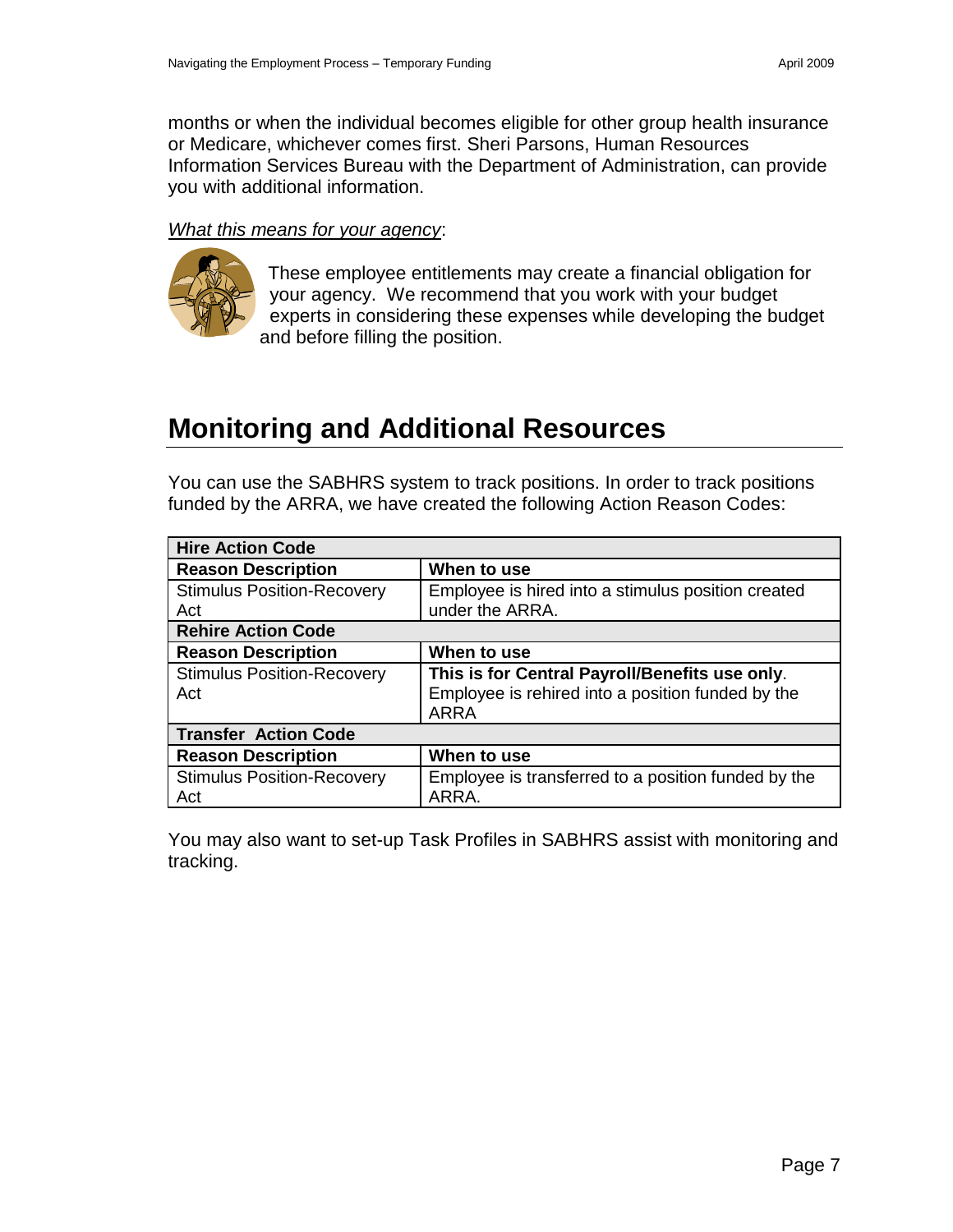months or when the individual becomes eligible for other group health insurance or Medicare, whichever comes first. Sheri Parsons, Human Resources Information Services Bureau with the Department of Administration, can provide you with additional information.

#### *What this means for your agency*:



<span id="page-8-0"></span>These employee entitlements may create a financial obligation for your agency. We recommend that you work with your budget experts in considering these expenses while developing the budget and before filling the position.

## **Monitoring and Additional Resources**

You can use the SABHRS system to track positions. In order to track positions funded by the ARRA, we have created the following Action Reason Codes:

| <b>Hire Action Code</b>                  |                                                                                                                    |  |  |  |  |
|------------------------------------------|--------------------------------------------------------------------------------------------------------------------|--|--|--|--|
| <b>Reason Description</b>                | When to use                                                                                                        |  |  |  |  |
| <b>Stimulus Position-Recovery</b><br>Act | Employee is hired into a stimulus position created<br>under the ARRA.                                              |  |  |  |  |
| <b>Rehire Action Code</b>                |                                                                                                                    |  |  |  |  |
| <b>Reason Description</b>                | When to use                                                                                                        |  |  |  |  |
| <b>Stimulus Position-Recovery</b><br>Act | This is for Central Payroll/Benefits use only.<br>Employee is rehired into a position funded by the<br><b>ARRA</b> |  |  |  |  |
| <b>Transfer Action Code</b>              |                                                                                                                    |  |  |  |  |
| <b>Reason Description</b>                | When to use                                                                                                        |  |  |  |  |
| <b>Stimulus Position-Recovery</b><br>Act | Employee is transferred to a position funded by the<br>ARRA.                                                       |  |  |  |  |

You may also want to set-up Task Profiles in SABHRS assist with monitoring and tracking.